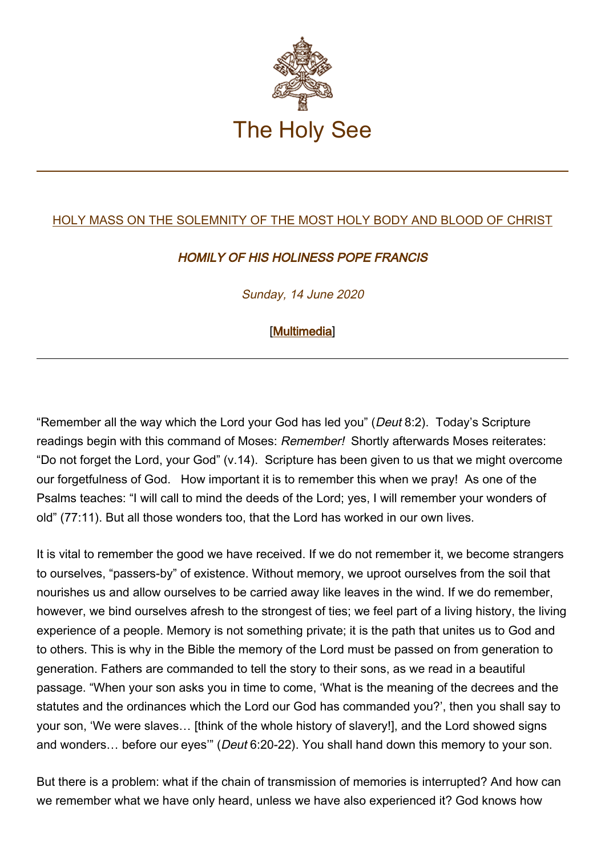

## [HOLY MASS ON THE SOLEMNITY OF THE MOST HOLY BODY AND BLOOD OF CHRIST](http://www.vatican.va/news_services/liturgy/libretti/2020/20200614-libretto-corpusdomini.pdf)

## HOMILY OF HIS HOLINESS POPE FRANCIS

Sunday, 14 June 2020

## [\[Multimedia](http://w2.vatican.va/content/francesco/en/events/event.dir.html/content/vaticanevents/en/2020/6/14/messa-corpusdomini.html)]

"Remember all the way which the Lord your God has led you" (Deut 8:2). Today's Scripture readings begin with this command of Moses: Remember! Shortly afterwards Moses reiterates: "Do not forget the Lord, your God" (v.14). Scripture has been given to us that we might overcome our forgetfulness of God. How important it is to remember this when we pray! As one of the Psalms teaches: "I will call to mind the deeds of the Lord; yes, I will remember your wonders of old" (77:11). But all those wonders too, that the Lord has worked in our own lives.

It is vital to remember the good we have received. If we do not remember it, we become strangers to ourselves, "passers-by" of existence. Without memory, we uproot ourselves from the soil that nourishes us and allow ourselves to be carried away like leaves in the wind. If we do remember, however, we bind ourselves afresh to the strongest of ties; we feel part of a living history, the living experience of a people. Memory is not something private; it is the path that unites us to God and to others. This is why in the Bible the memory of the Lord must be passed on from generation to generation. Fathers are commanded to tell the story to their sons, as we read in a beautiful passage. "When your son asks you in time to come, 'What is the meaning of the decrees and the statutes and the ordinances which the Lord our God has commanded you?', then you shall say to your son, 'We were slaves… [think of the whole history of slavery!], and the Lord showed signs and wonders… before our eyes'" (Deut 6:20-22). You shall hand down this memory to your son.

But there is a problem: what if the chain of transmission of memories is interrupted? And how can we remember what we have only heard, unless we have also experienced it? God knows how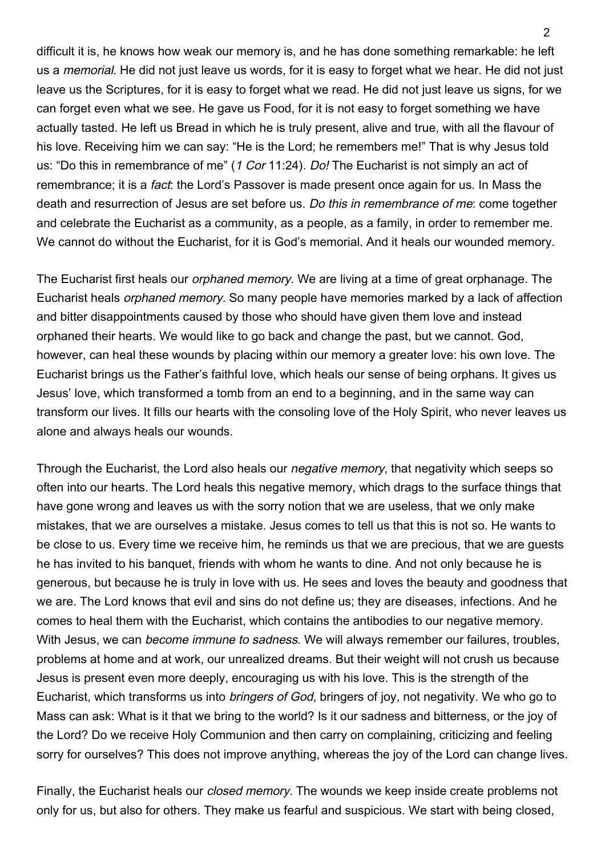difficult it is, he knows how weak our memory is, and he has done something remarkable: he left us a memorial. He did not just leave us words, for it is easy to forget what we hear. He did not just leave us the Scriptures, for it is easy to forget what we read. He did not just leave us signs, for we can forget even what we see. He gave us Food, for it is not easy to forget something we have actually tasted. He left us Bread in which he is truly present, alive and true, with all the flavour of his love. Receiving him we can say: "He is the Lord; he remembers me!" That is why Jesus told us: "Do this in remembrance of me" (1 Cor 11:24). Do! The Eucharist is not simply an act of remembrance; it is a *fact*: the Lord's Passover is made present once again for us. In Mass the death and resurrection of Jesus are set before us. Do this in remembrance of me: come together and celebrate the Eucharist as a community, as a people, as a family, in order to remember me. We cannot do without the Eucharist, for it is God's memorial. And it heals our wounded memory.

The Eucharist first heals our *orphaned memory*. We are living at a time of great orphanage. The Eucharist heals orphaned memory. So many people have memories marked by a lack of affection and bitter disappointments caused by those who should have given them love and instead orphaned their hearts. We would like to go back and change the past, but we cannot. God, however, can heal these wounds by placing within our memory a greater love: his own love. The Eucharist brings us the Father's faithful love, which heals our sense of being orphans. It gives us Jesus' love, which transformed a tomb from an end to a beginning, and in the same way can transform our lives. It fills our hearts with the consoling love of the Holy Spirit, who never leaves us alone and always heals our wounds.

Through the Eucharist, the Lord also heals our negative memory, that negativity which seeps so often into our hearts. The Lord heals this negative memory, which drags to the surface things that have gone wrong and leaves us with the sorry notion that we are useless, that we only make mistakes, that we are ourselves a mistake. Jesus comes to tell us that this is not so. He wants to be close to us. Every time we receive him, he reminds us that we are precious, that we are guests he has invited to his banquet, friends with whom he wants to dine. And not only because he is generous, but because he is truly in love with us. He sees and loves the beauty and goodness that we are. The Lord knows that evil and sins do not define us; they are diseases, infections. And he comes to heal them with the Eucharist, which contains the antibodies to our negative memory. With Jesus, we can become immune to sadness. We will always remember our failures, troubles, problems at home and at work, our unrealized dreams. But their weight will not crush us because Jesus is present even more deeply, encouraging us with his love. This is the strength of the Eucharist, which transforms us into bringers of God, bringers of joy, not negativity. We who go to Mass can ask: What is it that we bring to the world? Is it our sadness and bitterness, or the joy of the Lord? Do we receive Holy Communion and then carry on complaining, criticizing and feeling sorry for ourselves? This does not improve anything, whereas the joy of the Lord can change lives.

Finally, the Eucharist heals our *closed memory*. The wounds we keep inside create problems not only for us, but also for others. They make us fearful and suspicious. We start with being closed,